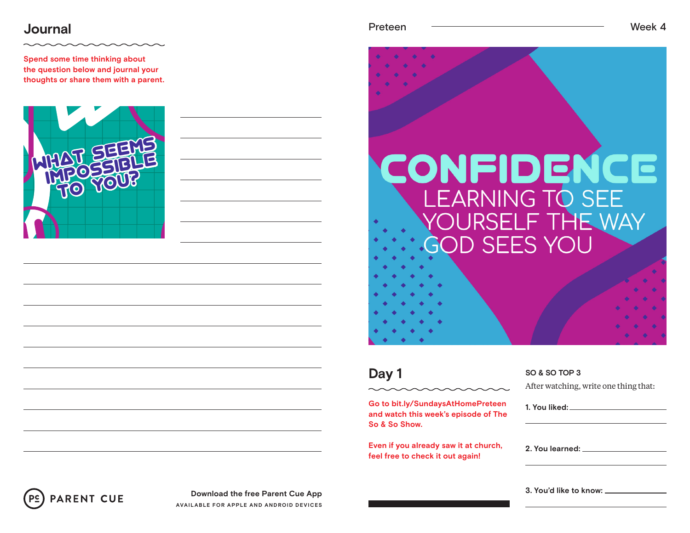### **Journal** Week 4

**Spend some time thinking about the question below and journal your thoughts or share them with a parent.**



| $r$ ete<br>חי<br>∽<br>c. |  |
|--------------------------|--|
|--------------------------|--|

# CONFIDENCE **LEARNING TO SEE** F THE WAY **SEES YOU**

### **Day 1**

**Go to bit.ly/SundaysAtHomePreteen and watch this week's episode of The So & So Show.**

**Even if you already saw it at church, feel free to check it out again!**

#### **SO & SO TOP 3**

After watching, write one thing that:

**1. You liked: 2. You learned:** 

**3. You'd like to know:**



**Download the free Parent Cue App AVAILABLE FOR APPLE AND ANDROID DEVICES**